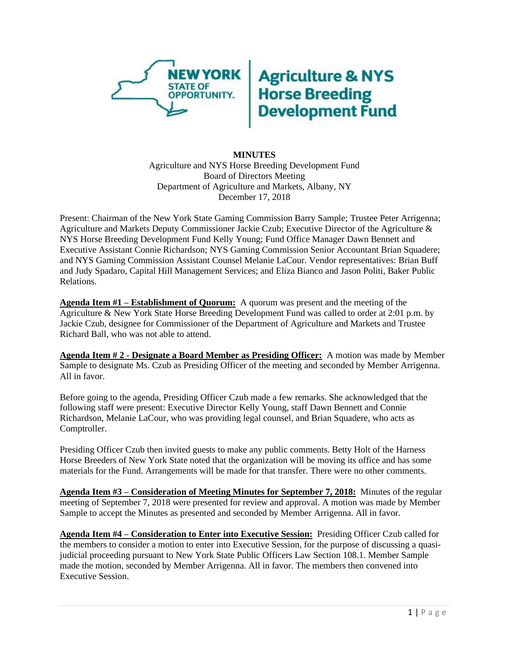

## **Agriculture & NYS<br>Horse Breeding<br>Development Fund**

## **MINUTES** Agriculture and NYS Horse Breeding Development Fund Board of Directors Meeting Department of Agriculture and Markets, Albany, NY December 17, 2018

Present: Chairman of the New York State Gaming Commission Barry Sample; Trustee Peter Arrigenna; Agriculture and Markets Deputy Commissioner Jackie Czub; Executive Director of the Agriculture & NYS Horse Breeding Development Fund Kelly Young; Fund Office Manager Dawn Bennett and Executive Assistant Connie Richardson; NYS Gaming Commission Senior Accountant Brian Squadere; and NYS Gaming Commission Assistant Counsel Melanie LaCour. Vendor representatives: Brian Buff and Judy Spadaro, Capital Hill Management Services; and Eliza Bianco and Jason Politi, Baker Public Relations.

**Agenda Item #1 – Establishment of Quorum:** A quorum was present and the meeting of the Agriculture & New York State Horse Breeding Development Fund was called to order at 2:01 p.m. by Jackie Czub, designee for Commissioner of the Department of Agriculture and Markets and Trustee Richard Ball, who was not able to attend.

**Agenda Item # 2 - Designate a Board Member as Presiding Officer:** A motion was made by Member Sample to designate Ms. Czub as Presiding Officer of the meeting and seconded by Member Arrigenna. All in favor.

Before going to the agenda, Presiding Officer Czub made a few remarks. She acknowledged that the following staff were present: Executive Director Kelly Young, staff Dawn Bennett and Connie Richardson, Melanie LaCour, who was providing legal counsel, and Brian Squadere, who acts as Comptroller.

Presiding Officer Czub then invited guests to make any public comments. Betty Holt of the Harness Horse Breeders of New York State noted that the organization will be moving its office and has some materials for the Fund. Arrangements will be made for that transfer. There were no other comments.

**Agenda Item #3 – Consideration of Meeting Minutes for September 7, 2018:** Minutes of the regular meeting of September 7, 2018 were presented for review and approval. A motion was made by Member Sample to accept the Minutes as presented and seconded by Member Arrigenna. All in favor.

**Agenda Item #4 – Consideration to Enter into Executive Session:** Presiding Officer Czub called for the members to consider a motion to enter into Executive Session, for the purpose of discussing a quasijudicial proceeding pursuant to New York State Public Officers Law Section 108.1. Member Sample made the motion, seconded by Member Arrigenna. All in favor. The members then convened into Executive Session.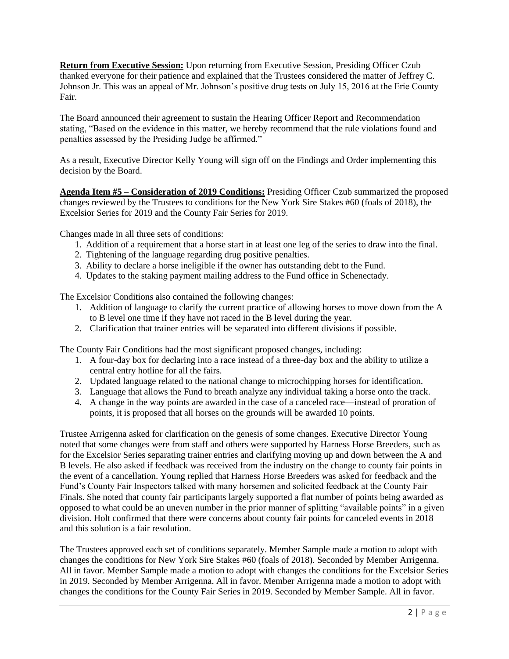**Return from Executive Session:** Upon returning from Executive Session, Presiding Officer Czub thanked everyone for their patience and explained that the Trustees considered the matter of Jeffrey C. Johnson Jr. This was an appeal of Mr. Johnson's positive drug tests on July 15, 2016 at the Erie County Fair.

The Board announced their agreement to sustain the Hearing Officer Report and Recommendation stating, "Based on the evidence in this matter, we hereby recommend that the rule violations found and penalties assessed by the Presiding Judge be affirmed."

As a result, Executive Director Kelly Young will sign off on the Findings and Order implementing this decision by the Board.

**Agenda Item #5 – Consideration of 2019 Conditions:** Presiding Officer Czub summarized the proposed changes reviewed by the Trustees to conditions for the New York Sire Stakes #60 (foals of 2018), the Excelsior Series for 2019 and the County Fair Series for 2019.

Changes made in all three sets of conditions:

- 1. Addition of a requirement that a horse start in at least one leg of the series to draw into the final.
- 2. Tightening of the language regarding drug positive penalties.
- 3. Ability to declare a horse ineligible if the owner has outstanding debt to the Fund.
- 4. Updates to the staking payment mailing address to the Fund office in Schenectady.

The Excelsior Conditions also contained the following changes:

- 1. Addition of language to clarify the current practice of allowing horses to move down from the A to B level one time if they have not raced in the B level during the year.
- 2. Clarification that trainer entries will be separated into different divisions if possible.

The County Fair Conditions had the most significant proposed changes, including:

- 1. A four-day box for declaring into a race instead of a three-day box and the ability to utilize a central entry hotline for all the fairs.
- 2. Updated language related to the national change to microchipping horses for identification.
- 3. Language that allows the Fund to breath analyze any individual taking a horse onto the track.
- 4. A change in the way points are awarded in the case of a canceled race—instead of proration of points, it is proposed that all horses on the grounds will be awarded 10 points.

Trustee Arrigenna asked for clarification on the genesis of some changes. Executive Director Young noted that some changes were from staff and others were supported by Harness Horse Breeders, such as for the Excelsior Series separating trainer entries and clarifying moving up and down between the A and B levels. He also asked if feedback was received from the industry on the change to county fair points in the event of a cancellation. Young replied that Harness Horse Breeders was asked for feedback and the Fund's County Fair Inspectors talked with many horsemen and solicited feedback at the County Fair Finals. She noted that county fair participants largely supported a flat number of points being awarded as opposed to what could be an uneven number in the prior manner of splitting "available points" in a given division. Holt confirmed that there were concerns about county fair points for canceled events in 2018 and this solution is a fair resolution.

The Trustees approved each set of conditions separately. Member Sample made a motion to adopt with changes the conditions for New York Sire Stakes #60 (foals of 2018). Seconded by Member Arrigenna. All in favor. Member Sample made a motion to adopt with changes the conditions for the Excelsior Series in 2019. Seconded by Member Arrigenna. All in favor. Member Arrigenna made a motion to adopt with changes the conditions for the County Fair Series in 2019. Seconded by Member Sample. All in favor.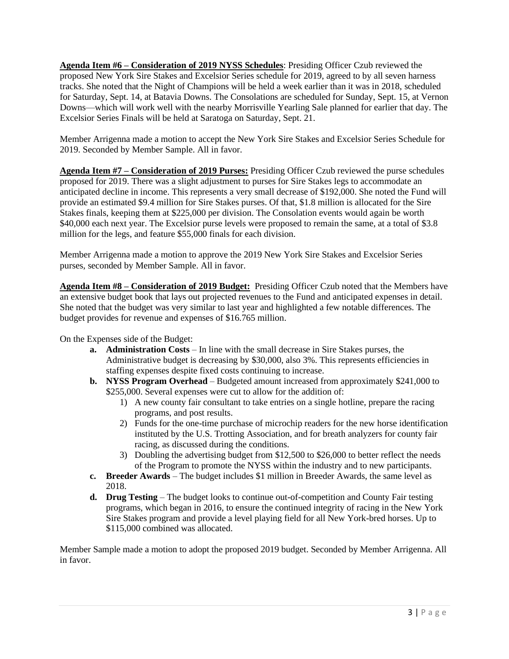**Agenda Item #6 – Consideration of 2019 NYSS Schedules**: Presiding Officer Czub reviewed the proposed New York Sire Stakes and Excelsior Series schedule for 2019, agreed to by all seven harness tracks. She noted that the Night of Champions will be held a week earlier than it was in 2018, scheduled for Saturday, Sept. 14, at Batavia Downs. The Consolations are scheduled for Sunday, Sept. 15, at Vernon Downs—which will work well with the nearby Morrisville Yearling Sale planned for earlier that day. The Excelsior Series Finals will be held at Saratoga on Saturday, Sept. 21.

Member Arrigenna made a motion to accept the New York Sire Stakes and Excelsior Series Schedule for 2019. Seconded by Member Sample. All in favor.

**Agenda Item #7 – Consideration of 2019 Purses:** Presiding Officer Czub reviewed the purse schedules proposed for 2019. There was a slight adjustment to purses for Sire Stakes legs to accommodate an anticipated decline in income. This represents a very small decrease of \$192,000. She noted the Fund will provide an estimated \$9.4 million for Sire Stakes purses. Of that, \$1.8 million is allocated for the Sire Stakes finals, keeping them at \$225,000 per division. The Consolation events would again be worth \$40,000 each next year. The Excelsior purse levels were proposed to remain the same, at a total of \$3.8 million for the legs, and feature \$55,000 finals for each division.

Member Arrigenna made a motion to approve the 2019 New York Sire Stakes and Excelsior Series purses, seconded by Member Sample. All in favor.

**Agenda Item #8 – Consideration of 2019 Budget:** Presiding Officer Czub noted that the Members have an extensive budget book that lays out projected revenues to the Fund and anticipated expenses in detail. She noted that the budget was very similar to last year and highlighted a few notable differences. The budget provides for revenue and expenses of \$16.765 million.

On the Expenses side of the Budget:

- **a. Administration Costs** In line with the small decrease in Sire Stakes purses, the Administrative budget is decreasing by \$30,000, also 3%. This represents efficiencies in staffing expenses despite fixed costs continuing to increase.
- **b. NYSS Program Overhead**  Budgeted amount increased from approximately \$241,000 to \$255,000. Several expenses were cut to allow for the addition of:
	- 1) A new county fair consultant to take entries on a single hotline, prepare the racing programs, and post results.
	- 2) Funds for the one-time purchase of microchip readers for the new horse identification instituted by the U.S. Trotting Association, and for breath analyzers for county fair racing, as discussed during the conditions.
	- 3) Doubling the advertising budget from \$12,500 to \$26,000 to better reflect the needs of the Program to promote the NYSS within the industry and to new participants.
- **c. Breeder Awards** The budget includes \$1 million in Breeder Awards, the same level as 2018.
- **d. Drug Testing** The budget looks to continue out-of-competition and County Fair testing programs, which began in 2016, to ensure the continued integrity of racing in the New York Sire Stakes program and provide a level playing field for all New York-bred horses. Up to \$115,000 combined was allocated.

Member Sample made a motion to adopt the proposed 2019 budget. Seconded by Member Arrigenna. All in favor.